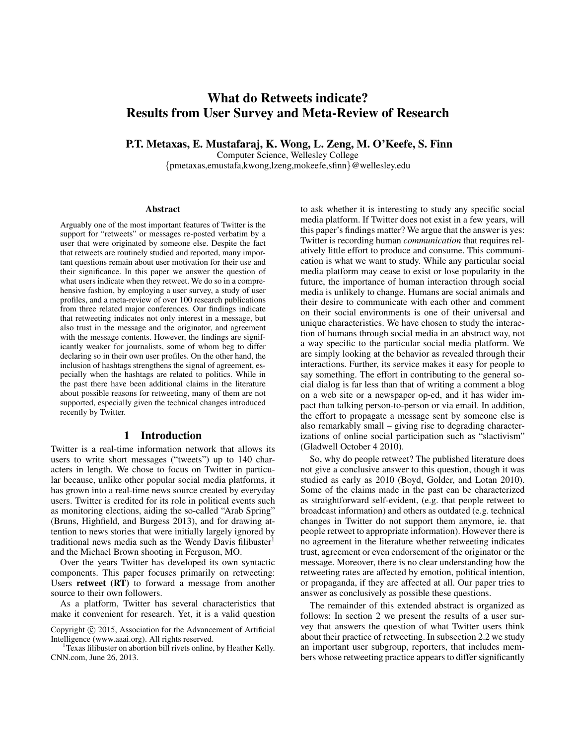# What do Retweets indicate? Results from User Survey and Meta-Review of Research

P.T. Metaxas, E. Mustafaraj, K. Wong, L. Zeng, M. O'Keefe, S. Finn

Computer Science, Wellesley College

{pmetaxas,emustafa,kwong,lzeng,mokeefe,sfinn}@wellesley.edu

#### Abstract

Arguably one of the most important features of Twitter is the support for "retweets" or messages re-posted verbatim by a user that were originated by someone else. Despite the fact that retweets are routinely studied and reported, many important questions remain about user motivation for their use and their significance. In this paper we answer the question of what users indicate when they retweet. We do so in a comprehensive fashion, by employing a user survey, a study of user profiles, and a meta-review of over 100 research publications from three related major conferences. Our findings indicate that retweeting indicates not only interest in a message, but also trust in the message and the originator, and agreement with the message contents. However, the findings are significantly weaker for journalists, some of whom beg to differ declaring so in their own user profiles. On the other hand, the inclusion of hashtags strengthens the signal of agreement, especially when the hashtags are related to politics. While in the past there have been additional claims in the literature about possible reasons for retweeting, many of them are not supported, especially given the technical changes introduced recently by Twitter.

#### 1 Introduction

Twitter is a real-time information network that allows its users to write short messages ("tweets") up to 140 characters in length. We chose to focus on Twitter in particular because, unlike other popular social media platforms, it has grown into a real-time news source created by everyday users. Twitter is credited for its role in political events such as monitoring elections, aiding the so-called "Arab Spring" (Bruns, Highfield, and Burgess 2013), and for drawing attention to news stories that were initially largely ignored by traditional news media such as the Wendy Davis filibuster<sup>1</sup> and the Michael Brown shooting in Ferguson, MO.

Over the years Twitter has developed its own syntactic components. This paper focuses primarily on retweeting: Users retweet (RT) to forward a message from another source to their own followers.

As a platform, Twitter has several characteristics that make it convenient for research. Yet, it is a valid question

to ask whether it is interesting to study any specific social media platform. If Twitter does not exist in a few years, will this paper's findings matter? We argue that the answer is yes: Twitter is recording human *communication* that requires relatively little effort to produce and consume. This communication is what we want to study. While any particular social media platform may cease to exist or lose popularity in the future, the importance of human interaction through social media is unlikely to change. Humans are social animals and their desire to communicate with each other and comment on their social environments is one of their universal and unique characteristics. We have chosen to study the interaction of humans through social media in an abstract way, not a way specific to the particular social media platform. We are simply looking at the behavior as revealed through their interactions. Further, its service makes it easy for people to say something. The effort in contributing to the general social dialog is far less than that of writing a comment a blog on a web site or a newspaper op-ed, and it has wider impact than talking person-to-person or via email. In addition, the effort to propagate a message sent by someone else is also remarkably small – giving rise to degrading characterizations of online social participation such as "slactivism" (Gladwell October 4 2010).

So, why do people retweet? The published literature does not give a conclusive answer to this question, though it was studied as early as 2010 (Boyd, Golder, and Lotan 2010). Some of the claims made in the past can be characterized as straightforward self-evident, (e.g. that people retweet to broadcast information) and others as outdated (e.g. technical changes in Twitter do not support them anymore, ie. that people retweet to appropriate information). However there is no agreement in the literature whether retweeting indicates trust, agreement or even endorsement of the originator or the message. Moreover, there is no clear understanding how the retweeting rates are affected by emotion, political intention, or propaganda, if they are affected at all. Our paper tries to answer as conclusively as possible these questions.

The remainder of this extended abstract is organized as follows: In section 2 we present the results of a user survey that answers the question of what Twitter users think about their practice of retweeting. In subsection 2.2 we study an important user subgroup, reporters, that includes members whose retweeting practice appears to differ significantly

Copyright (c) 2015, Association for the Advancement of Artificial Intelligence (www.aaai.org). All rights reserved.

<sup>1</sup>Texas filibuster on abortion bill rivets online, by Heather Kelly. CNN.com, June 26, 2013.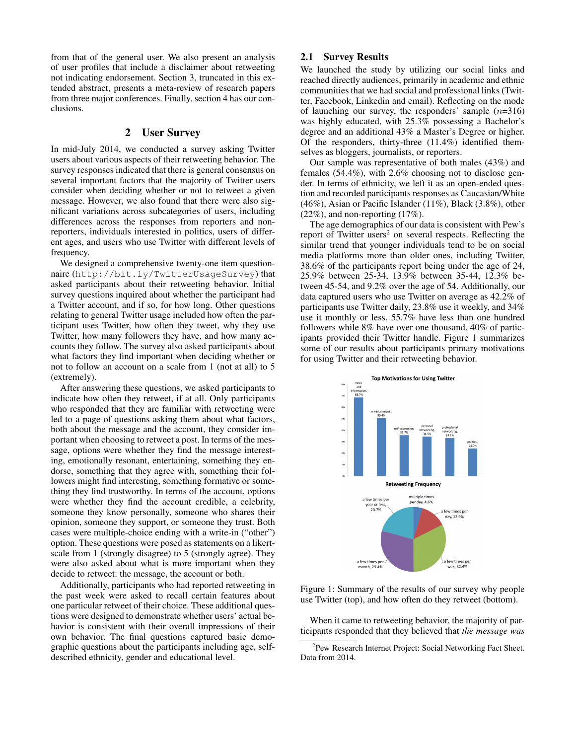from that of the general user. We also present an analysis of user profiles that include a disclaimer about retweeting not indicating endorsement. Section 3, truncated in this extended abstract, presents a meta-review of research papers from three major conferences. Finally, section 4 has our conclusions.

### 2 User Survey

In mid-July 2014, we conducted a survey asking Twitter users about various aspects of their retweeting behavior. The survey responses indicated that there is general consensus on several important factors that the majority of Twitter users consider when deciding whether or not to retweet a given message. However, we also found that there were also significant variations across subcategories of users, including differences across the responses from reporters and nonreporters, individuals interested in politics, users of different ages, and users who use Twitter with different levels of frequency.

We designed a comprehensive twenty-one item questionnaire (http://bit.ly/TwitterUsageSurvey) that asked participants about their retweeting behavior. Initial survey questions inquired about whether the participant had a Twitter account, and if so, for how long. Other questions relating to general Twitter usage included how often the participant uses Twitter, how often they tweet, why they use Twitter, how many followers they have, and how many accounts they follow. The survey also asked participants about what factors they find important when deciding whether or not to follow an account on a scale from 1 (not at all) to 5 (extremely).

After answering these questions, we asked participants to indicate how often they retweet, if at all. Only participants who responded that they are familiar with retweeting were led to a page of questions asking them about what factors, both about the message and the account, they consider important when choosing to retweet a post. In terms of the message, options were whether they find the message interesting, emotionally resonant, entertaining, something they endorse, something that they agree with, something their followers might find interesting, something formative or something they find trustworthy. In terms of the account, options were whether they find the account credible, a celebrity, someone they know personally, someone who shares their opinion, someone they support, or someone they trust. Both cases were multiple-choice ending with a write-in ("other") option. These questions were posed as statements on a likertscale from 1 (strongly disagree) to 5 (strongly agree). They were also asked about what is more important when they decide to retweet: the message, the account or both.

Additionally, participants who had reported retweeting in the past week were asked to recall certain features about one particular retweet of their choice. These additional questions were designed to demonstrate whether users' actual behavior is consistent with their overall impressions of their own behavior. The final questions captured basic demographic questions about the participants including age, selfdescribed ethnicity, gender and educational level.

## 2.1 Survey Results

We launched the study by utilizing our social links and reached directly audiences, primarily in academic and ethnic communities that we had social and professional links (Twitter, Facebook, Linkedin and email). Reflecting on the mode of launching our survey, the responders' sample  $(n=316)$ was highly educated, with 25.3% possessing a Bachelor's degree and an additional 43% a Master's Degree or higher. Of the responders, thirty-three (11.4%) identified themselves as bloggers, journalists, or reporters.

Our sample was representative of both males (43%) and females (54.4%), with 2.6% choosing not to disclose gender. In terms of ethnicity, we left it as an open-ended question and recorded participants responses as Caucasian/White (46%), Asian or Pacific Islander (11%), Black (3.8%), other (22%), and non-reporting (17%).

The age demographics of our data is consistent with Pew's report of Twitter users<sup>2</sup> on several respects. Reflecting the similar trend that younger individuals tend to be on social media platforms more than older ones, including Twitter, 38.6% of the participants report being under the age of 24, 25.9% between 25-34, 13.9% between 35-44, 12.3% between 45-54, and 9.2% over the age of 54. Additionally, our data captured users who use Twitter on average as 42.2% of participants use Twitter daily, 23.8% use it weekly, and 34% use it monthly or less. 55.7% have less than one hundred followers while 8% have over one thousand. 40% of participants provided their Twitter handle. Figure 1 summarizes some of our results about participants primary motivations for using Twitter and their retweeting behavior.



Figure 1: Summary of the results of our survey why people use Twitter (top), and how often do they retweet (bottom).

When it came to retweeting behavior, the majority of participants responded that they believed that *the message was*

<sup>&</sup>lt;sup>2</sup> Pew Research Internet Project: Social Networking Fact Sheet. Data from 2014.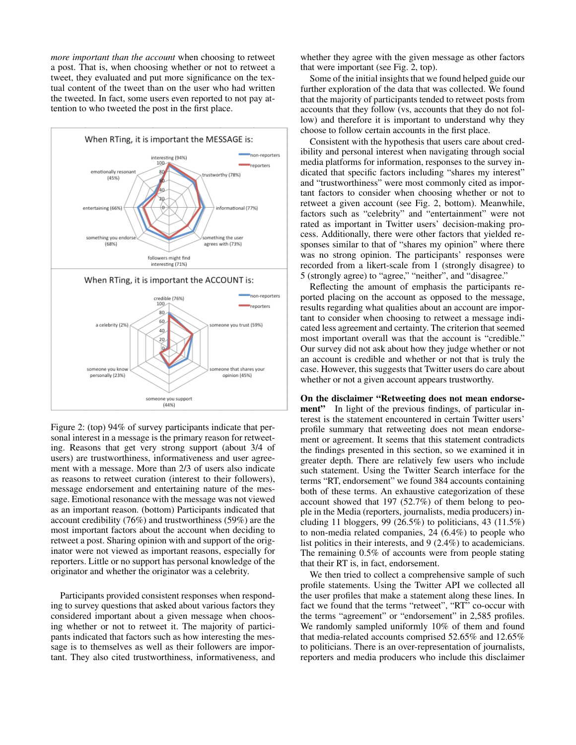*more important than the account* when choosing to retweet a post. That is, when choosing whether or not to retweet a tweet, they evaluated and put more significance on the textual content of the tweet than on the user who had written the tweeted. In fact, some users even reported to not pay attention to who tweeted the post in the first place.



Figure 2: (top) 94% of survey participants indicate that personal interest in a message is the primary reason for retweeting. Reasons that get very strong support (about 3/4 of users) are trustworthiness, informativeness and user agreement with a message. More than 2/3 of users also indicate as reasons to retweet curation (interest to their followers), message endorsement and entertaining nature of the message. Emotional resonance with the message was not viewed as an important reason. (bottom) Participants indicated that account credibility (76%) and trustworthiness (59%) are the most important factors about the account when deciding to retweet a post. Sharing opinion with and support of the originator were not viewed as important reasons, especially for reporters. Little or no support has personal knowledge of the originator and whether the originator was a celebrity.

Participants provided consistent responses when responding to survey questions that asked about various factors they considered important about a given message when choosing whether or not to retweet it. The majority of participants indicated that factors such as how interesting the message is to themselves as well as their followers are important. They also cited trustworthiness, informativeness, and whether they agree with the given message as other factors that were important (see Fig. 2, top).

Some of the initial insights that we found helped guide our further exploration of the data that was collected. We found that the majority of participants tended to retweet posts from accounts that they follow (vs, accounts that they do not follow) and therefore it is important to understand why they choose to follow certain accounts in the first place.

Consistent with the hypothesis that users care about credibility and personal interest when navigating through social media platforms for information, responses to the survey indicated that specific factors including "shares my interest" and "trustworthiness" were most commonly cited as important factors to consider when choosing whether or not to retweet a given account (see Fig. 2, bottom). Meanwhile, factors such as "celebrity" and "entertainment" were not rated as important in Twitter users' decision-making process. Additionally, there were other factors that yielded responses similar to that of "shares my opinion" where there was no strong opinion. The participants' responses were recorded from a likert-scale from 1 (strongly disagree) to 5 (strongly agree) to "agree," "neither", and "disagree."

Reflecting the amount of emphasis the participants reported placing on the account as opposed to the message, results regarding what qualities about an account are important to consider when choosing to retweet a message indicated less agreement and certainty. The criterion that seemed most important overall was that the account is "credible." Our survey did not ask about how they judge whether or not an account is credible and whether or not that is truly the case. However, this suggests that Twitter users do care about whether or not a given account appears trustworthy.

On the disclaimer "Retweeting does not mean endorsement" In light of the previous findings, of particular interest is the statement encountered in certain Twitter users' profile summary that retweeting does not mean endorsement or agreement. It seems that this statement contradicts the findings presented in this section, so we examined it in greater depth. There are relatively few users who include such statement. Using the Twitter Search interface for the terms "RT, endorsement" we found 384 accounts containing both of these terms. An exhaustive categorization of these account showed that 197 (52.7%) of them belong to people in the Media (reporters, journalists, media producers) including 11 bloggers, 99 (26.5%) to politicians, 43 (11.5%) to non-media related companies, 24 (6.4%) to people who list politics in their interests, and 9 (2.4%) to academicians. The remaining 0.5% of accounts were from people stating that their RT is, in fact, endorsement.

We then tried to collect a comprehensive sample of such profile statements. Using the Twitter API we collected all the user profiles that make a statement along these lines. In fact we found that the terms "retweet", "RT" co-occur with the terms "agreement" or "endorsement" in 2,585 profiles. We randomly sampled uniformly 10% of them and found that media-related accounts comprised 52.65% and 12.65% to politicians. There is an over-representation of journalists, reporters and media producers who include this disclaimer